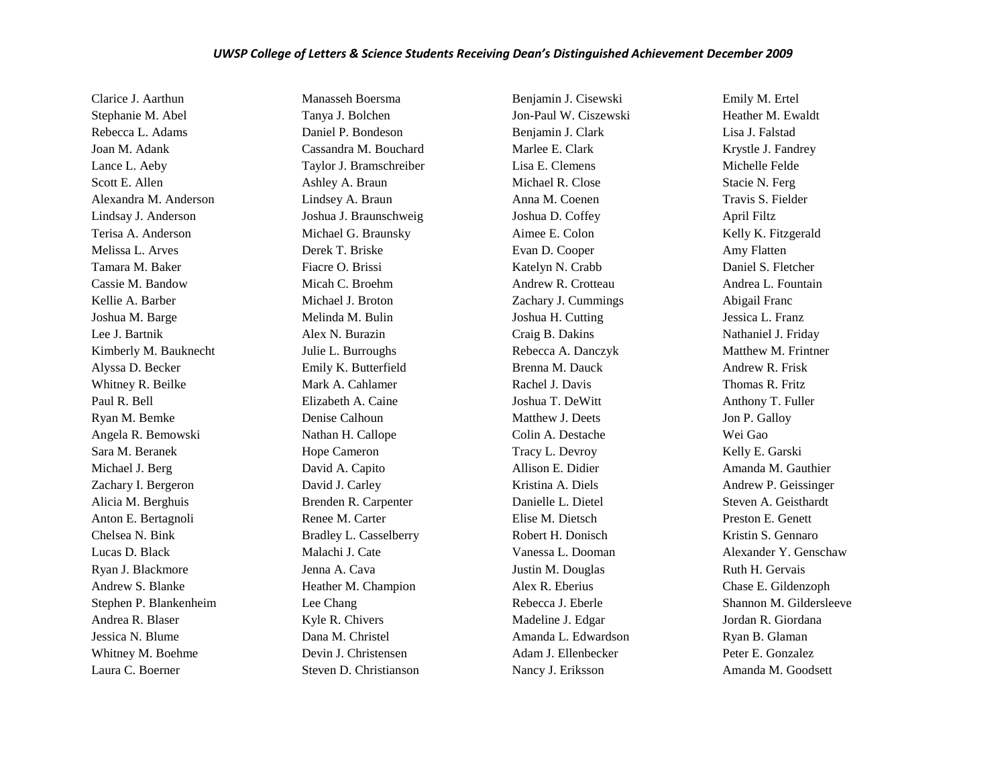## *UWSP College of Letters & Science Students Receiving Dean's Distinguished Achievement December 2009*

Clarice J. Aarthun Stephanie M. Abel Rebecca L. Adams Joan M. Adank Lance L. Aeby Scott E. Allen Alexandra M. Anderson Lindsay J. Anderson Terisa A. Anderson Melissa L. Arves Tamara M. Baker Cassie M. Bandow Kellie A. Barber Joshua M. Barge Lee J. Bartnik Kimberly M. Bauknecht Alyssa D. Becker Whitney R. Beilke Paul R. Bell Ryan M. Bemke Angela R. Bemowski Sara M. Beranek Michael J. Berg Zachary I. Bergeron Alicia M. Berghuis Anton E. Bertagnoli Chelsea N. Bink Lucas D. Black Ryan J. Blackmore Andrew S. Blanke Stephen P. Blankenheim Andrea R. Blaser Jessica N. Blume Whitney M. Boehme Laura C. Boerner

Manasseh Boersma Tanya J. Bolchen Daniel P. Bondeson Cassandra M. Bouchard Taylor J. Bramschreiber Ashley A. Braun Lindsey A. Braun Joshua J. Braunschweig Michael G. Braunsky Derek T. Briske Fiacre O. Brissi Micah C. Broehm Michael J. Broton Melinda M. Bulin Alex N. Burazin Julie L. Burroughs Emily K. Butterfield Mark A. Cahlamer Elizabeth A. Caine Denise Calhoun Nathan H. Callope Hope Cameron David A. Capito David J. Carley Brenden R. Carpenter Renee M. Carter Bradley L. Casselberry Malachi J. Cate Jenna A. Cava Heather M. Champion Lee Chang Kyle R. Chivers Dana M. Christel Devin J. Christensen Steven D. Christianson

Benjamin J. Cisewski Jon-Paul W. Ciszewski Benjamin J. Clark Marlee E. Clark Lisa E. Clemens Michael R. Close Anna M. Coenen Joshua D. Coffey Aimee E. Colon Evan D. Cooper Katelyn N. Crabb Andrew R. Crotteau Zachary J. Cummings Joshua H. Cutting Craig B. Dakins Rebecca A. Danczyk Brenna M. Dauck Rachel J. Davis Joshua T. DeWitt Matthew **I. Deets** Colin A. Destache Tracy L. Devroy Allison E. Didier Kristina A. Diels Danielle L. Dietel Elise M. Dietsch Robert H. Donisch Vanessa L. Dooman Justin M. Douglas Alex R. Eberius Rebecca J. Eberle Madeline J. Edgar Amanda L. Edwardson Adam J. Ellenbecker Nancy J. Eriksson

Emily M. Ertel Heather M. Ewaldt Lisa J. Falstad Krystle J. Fandrey Michelle Felde Stacie N. Ferg Travis S. Fielder April Filtz Kelly K. Fitzgerald Amy Flatten Daniel S. Fletcher Andrea L. Fountain Abigail Franc Jessica L. Franz Nathaniel J. Friday Matthew M. Frintner Andrew R. Frisk Thomas R. Fritz Anthony T. Fuller Jon P. Galloy Wei Gao Kelly E. Garski Amanda M. Gauthier Andrew P. Geissinger Steven A. Geisthardt Preston E. Genett Kristin S. Gennaro Alexander Y. Genschaw Ruth H. Gervais Chase E. Gildenzoph Shannon M. Gildersleeve Jordan R. Giordana Ryan B. Glaman Peter E. Gonzalez Amanda M. Goodsett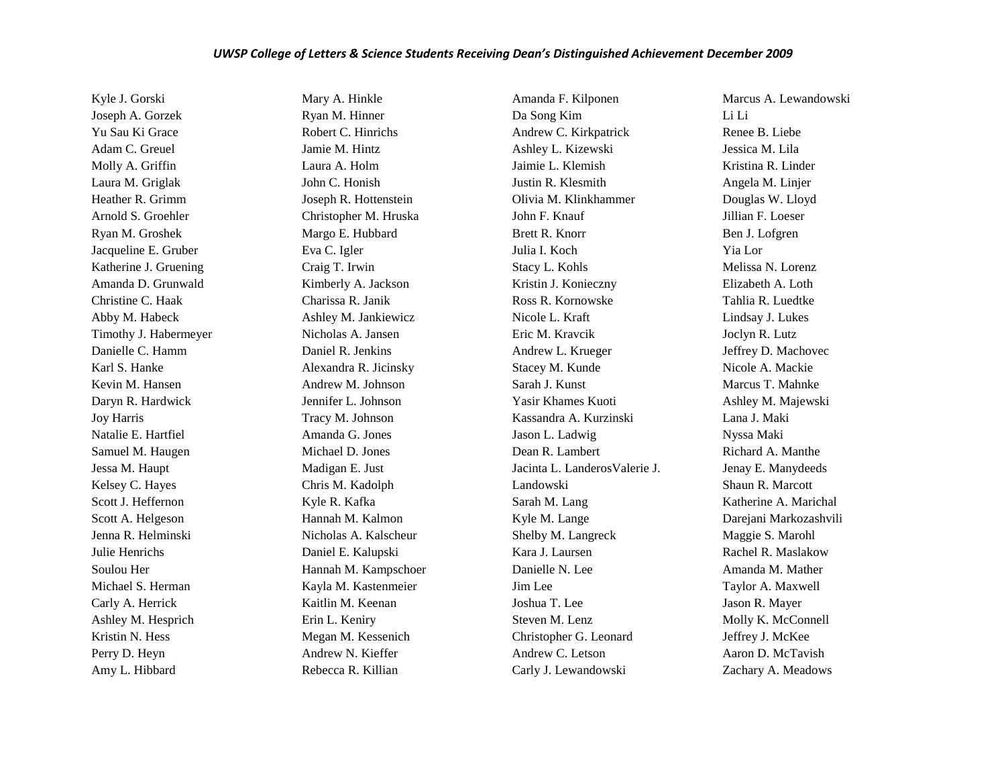## *UWSP College of Letters & Science Students Receiving Dean's Distinguished Achievement December 2009*

Kyle J. Gorski Joseph A. Gorzek Yu Sau Ki Grace Adam C. Greuel Molly A. Griffin Laura M. Griglak Heather R. Grimm Arnold S. Groehler Ryan M. Groshek Jacqueline E. Gruber Katherine J. Gruening Amanda D. Grunwald Christine C. Haak Abby M. Habeck Timothy J. Habermeyer Danielle C. Hamm Karl S. Hanke Kevin M. Hansen Daryn R. Hardwick Joy Harris Natalie E. Hartfiel Samuel M. Haugen Jessa M. Haupt Kelsey C. Hayes Scott J. Heffernon Scott A. Helgeson Jenna R. Helminski Julie Henrichs Soulou Her Michael S. Herman Carly A. Herrick Ashley M. Hesprich Kristin N. Hess Perry D. Heyn Amy L. Hibbard

Mary A. Hinkle Ryan M. Hinner Robert C. Hinrichs Jamie M. Hintz Laura A. Holm John C. Honish Joseph R. Hottenstein Christopher M. Hruska Margo E. Hubbard Eva C. Igler Craig T. Irwin Kimberly A. Jackson Charissa R. Janik Ashley M. Jankiewicz Nicholas A. Jansen Daniel R. Jenkins Alexandra R. Jicinsky Andrew M. Johnson Jennifer L. Johnson Tracy M. Johnson Amanda G. Jones Michael D. Jones Madigan E. Just Chris M. Kadolph Kyle R. Kafka Hannah M. Kalmon Nicholas A. Kalscheur Daniel E. Kalupski Hannah M. Kampschoer Kayla M. Kastenmeier Kaitlin M. Keenan Erin L. Keniry Megan M. Kessenich Andrew N. Kieffer Rebecca R. Killian

Amanda F. Kilponen Da Song Kim Andrew C. Kirkpatrick Ashley L. Kizewski Jaimie L. Klemish Justin R. Klesmith Olivia M. Klinkhammer John F. Knauf Brett R. Knorr Julia I. Koch Stacy L. Kohls Kristin J. Konieczny Ross R. Kornowske Nicole L. Kraft Eric M. Kravcik Andrew L. Krueger Stacey M. Kunde Sarah J. Kunst Yasir Khames Kuoti Kassandra A. Kurzinski Jason L. Ladwig Dean R. Lambert Jacinta L. LanderosValerie J. Landowski Sarah M. Lang Kyle M. Lange Shelby M. Langreck Kara J. Laursen Danielle N. Lee Jim Lee Joshua T. Lee Steven M. Lenz Christopher G. Leonard Andrew C. Letson Carly J. Lewandowski

Marcus A. Lewandowski Li Li Renee B. Liebe Jessica M. Lila Kristina R. Linder Angela M. Linjer Douglas W. Lloyd Jillian F. Loeser Ben J. Lofgren Yia Lor Melissa N. Lorenz Elizabeth A. Loth Tahlia R. Luedtke Lindsay J. Lukes Joclyn R. Lutz Jeffrey D. Machovec Nicole A. Mackie Marcus T. Mahnke Ashley M. Majewski Lana J. Maki Nyssa Maki Richard A. Manthe Jenay E. Manydeeds Shaun R. Marcott Katherine A. Marichal Darejani Markozashvili Maggie S. Marohl Rachel R. Maslakow Amanda M. Mather Taylor A. Maxwell Jason R. Mayer Molly K. McConnell Jeffrey J. McKee Aaron D. McTavish Zachary A. Meadows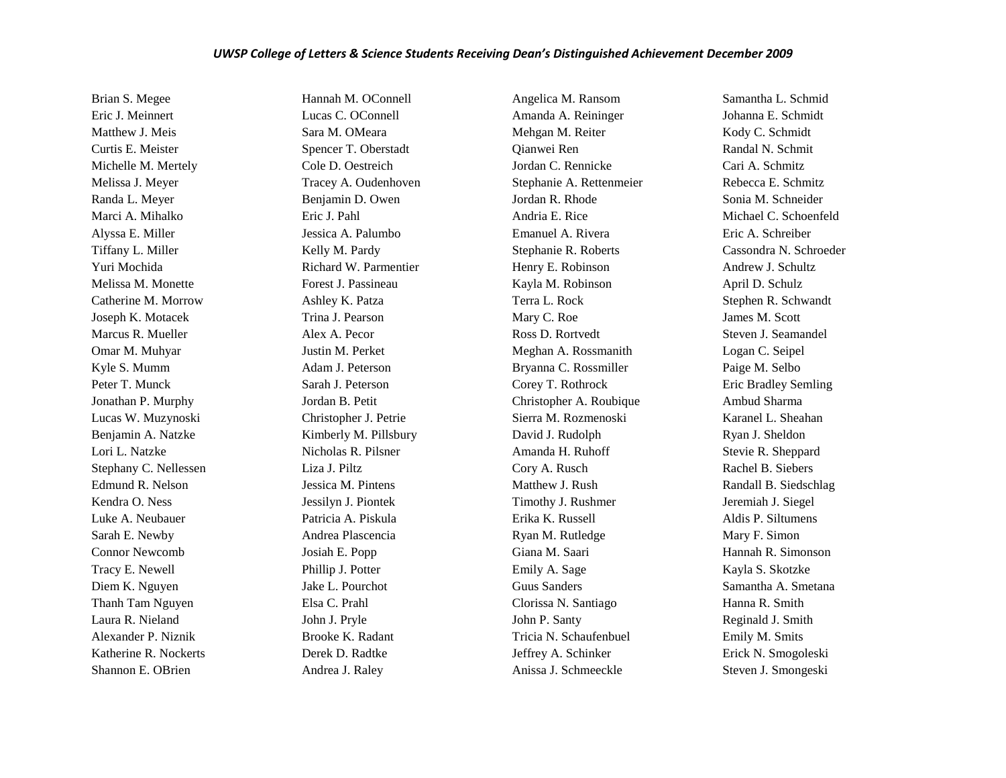## *UWSP College of Letters & Science Students Receiving Dean's Distinguished Achievement December 2009*

Brian S. Megee Eric J. Meinnert Matthew J. Meis Curtis E. Meister Michelle M. Mertely Melissa J. Meyer Randa L. Meyer Marci A. Mihalko Alyssa E. Miller Tiffany L. Miller Yuri Mochida Melissa M. Monette Catherine M. Morrow Joseph K. Motacek Marcus R. Mueller Omar M. Muhyar Kyle S. Mumm Peter T. Munck Jonathan P. Murphy Lucas W. Muzynoski Benjamin A. Natzke Lori L. Natzke Stephany C. Nellessen Edmund R. Nelson Kendra O. Ness Luke A. Neubauer Sarah E. Newby Connor Newcomb Tracy E. Newell Diem K. Nguyen Thanh Tam Nguyen Laura R. Nieland Alexander P. Niznik Katherine R. Nockerts Shannon E. OBrien

Hannah M. OConnell Lucas C. OConnell Sara M. OMeara Spencer T. Oberstadt Cole D. Oestreich Tracey A. Oudenhoven Benjamin D. Owen Eric J. Pahl Jessica A. Palumbo Kelly M. Pardy Richard W. Parmentier Forest J. Passineau Ashley K. Patza Trina J. Pearson Alex A. Pecor Justin M. Perket Adam J. Peterson Sarah J. Peterson Jordan B. Petit Christopher J. Petrie Kimberly M. Pillsbury Nicholas R. Pilsner Liza J. Piltz Jessica M. Pintens Jessilyn J. Piontek Patricia A. Piskula Andrea Plascencia Josiah E. Popp Phillip J. Potter Jake L. Pourchot Elsa C. Prahl John J. Pryle Brooke K. Radant Derek D. Radtke Andrea J. Raley

Angelica M. Ransom Amanda A. Reininger Mehgan M. Reiter Qianwei Ren Jordan C. Rennicke Stephanie A. Rettenmeier Jordan R. Rhode Andria E. Rice Emanuel A. Rivera Stephanie R. Roberts Henry E. Robinson Kayla M. Robinson Terra L. Rock Mary C. Roe Ross D. Rortvedt Meghan A. Rossmanith Bryanna C. Rossmiller Corey T. Rothrock Christopher A. Roubique Sierra M. Rozmenoski David J. Rudolph Amanda H. Ruhoff Cory A. Rusch Matthew J. Rush Timothy J. Rushmer Erika K. Russell Ryan M. Rutledge Giana M. Saari Emily A. Sage Guus Sanders Clorissa N. Santiago John P. Santy Tricia N. Schaufenbuel Jeffrey A. Schinker Anissa J. Schmeeckle

Samantha L. Schmid Johanna E. Schmidt Kody C. Schmidt Randal N. Schmit Cari A. Schmitz Rebecca E. Schmitz Sonia M. Schneider Michael C. Schoenfeld Eric A. Schreiber Cassondra N. Schroeder Andrew J. Schultz April D. Schulz Stephen R. Schwandt James M. Scott Steven J. Seamandel Logan C. Seipel Paige M. Selbo Eric Bradley Semling Ambud Sharma Karanel L. Sheahan Ryan J. Sheldon Stevie R. Sheppard Rachel B. Siebers Randall B. Siedschlag Jeremiah J. Siegel Aldis P. Siltumens Mary F. Simon Hannah R. Simonson Kayla S. Skotzke Samantha A. Smetana Hanna R. Smith Reginald J. Smith Emily M. Smits Erick N. Smogoleski Steven J. Smongeski